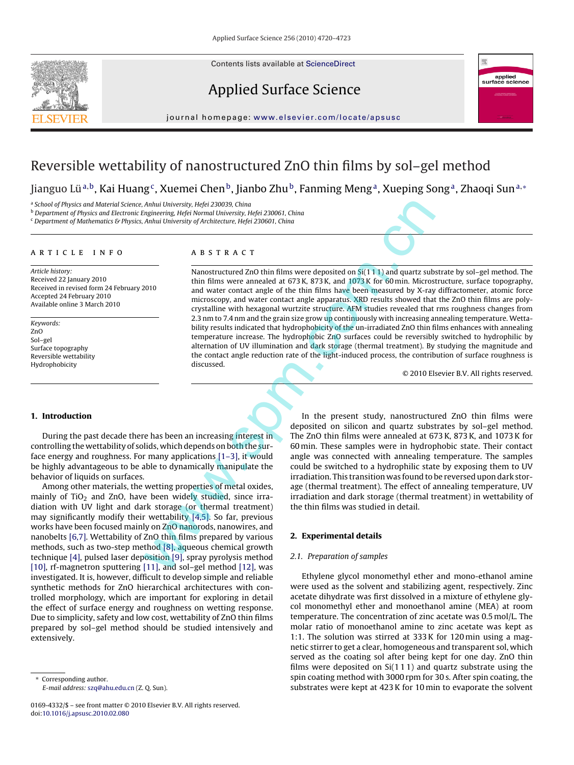Contents lists available at [ScienceDirect](http://www.sciencedirect.com/science/journal/01694332)







journal homepage: [www.elsevier.com/locate/apsusc](http://www.elsevier.com/locate/apsusc)

# Reversible wettability of nanostructured ZnO thin films by sol–gel method

Jianguo Lü<sup>a,b</sup>, Kai Huang<sup>c</sup>, Xuemei Chen<sup>b</sup>, Jianbo Zhu<sup>b</sup>, Fanming Meng<sup>a</sup>, Xueping Song<sup>a</sup>, Zhaoqi Sun<sup>a,∗</sup>

<sup>a</sup> School of Physics and Material Science, Anhui University, Hefei 230039, China

<sup>b</sup> Department of Physics and Electronic Engineering, Hefei Normal University, Hefei 230061, China

 $c$  Department of Mathematics & Physics, Anhui University of Architecture, Hefei 230601, China

### article info

Article history: Received 22 January 2010 Received in revised form 24 February 2010 Accepted 24 February 2010 Available online 3 March 2010

Keywords: ZnO Sol–gel Surface topography Reversible wettability Hydrophobicity

## **ABSTRACT**

Nanostructured ZnO thin films were deposited on Si(1 1 1) and quartz substrate by sol–gel method. The thin films were annealed at 673 K, 873 K, and 1073 K for 60 min. Microstructure, surface topography, and water contact angle of the thin films have been measured by X-ray diffractometer, atomic force microscopy, and water contact angle apparatus. XRD results showed that the ZnO thin films are polycrystalline with hexagonal wurtzite structure. AFM studies revealed that rms roughness changes from 2.3 nm to 7.4 nm and the grain size grow up continuously with increasing annealing temperature. Wettability results indicated that hydrophobicity of the un-irradiated ZnO thin films enhances with annealing temperature increase. The hydrophobic ZnO surfaces could be reversibly switched to hydrophilic by alternation of UV illumination and dark storage (thermal treatment). By studying the magnitude and the contact angle reduction rate of the light-induced process, the contribution of surface roughness is discussed. Anhul Univer[s](#page-3-0)ity, Helgi 230030, China<br>
Anhul University, Helgi 230061, China<br>
Anhul University Meridi 230061, China<br>
Anhul University of Architecture, Hefel 230061, China<br>
Anhul University of Architecture, Hefel 230061, C

© 2010 Elsevier B.V. All rights reserved.

## **1. Introduction**

During the past decade there has been an increasing interest in controlling the wettability of solids, which depends on both the surface energy and roughness. For many applications [1–3], it would be highly advantageous to be able to dynamically manipulate the behavior of liquids on surfaces.

Among other materials, the wetting properties of metal oxides, mainly of  $TiO<sub>2</sub>$  and ZnO, have been widely studied, since irradiation with UV light and dark storage (or thermal treatment) may significantly modify their wettability  $[4,5]$ . So far, previous works have been focused mainly on ZnO nanorods, nanowires, and nanobelts [\[6,7\]. W](#page-3-0)ettability of ZnO thin films prepared by various methods, such as two-step method [8], aqueous chemical growth technique [\[4\], p](#page-3-0)ulsed laser deposition [9], spray pyrolysis method [\[10\],](#page-3-0) rf-magnetron sputtering [\[11\], a](#page-3-0)nd sol-gel method [12], was investigated. It is, however, difficult to develop simple and reliable synthetic methods for ZnO hierarchical architectures with controlled morphology, which are important for exploring in detail the effect of surface energy and roughness on wetting response. Due to simplicity, safety and low cost, wettability of ZnO thin films prepared by sol–gel method should be studied intensively and extensively.

Corresponding author. E-mail address: [szq@ahu.edu.cn](mailto:szq@ahu.edu.cn) (Z. Q. Sun).

0169-4332/\$ – see front matter © 2010 Elsevier B.V. All rights reserved. doi:[10.1016/j.apsusc.2010.02.080](dx.doi.org/10.1016/j.apsusc.2010.02.080)

In the present study, nanostructured ZnO thin films were deposited on silicon and quartz substrates by sol–gel method. The ZnO thin films were annealed at 673 K, 873 K, and 1073 K for 60 min. These samples were in hydrophobic state. Their contact angle was connected with annealing temperature. The samples could be switched to a hydrophilic state by exposing them to UV irradiation. This transition was found to be reversed upon dark storage (thermal treatment). The effect of annealing temperature, UV irradiation and dark storage (thermal treatment) in wettability of the thin films was studied in detail.

## **2. Experimental details**

#### 2.1. Preparation of samples

Ethylene glycol monomethyl ether and mono-ethanol amine were used as the solvent and stabilizing agent, respectively. Zinc acetate dihydrate was first dissolved in a mixture of ethylene glycol monomethyl ether and monoethanol amine (MEA) at room temperature. The concentration of zinc acetate was 0.5 mol/L. The molar ratio of monoethanol amine to zinc acetate was kept as 1:1. The solution was stirred at 333 K for 120 min using a magnetic stirrer to get a clear, homogeneous and transparent sol, which served as the coating sol after being kept for one day. ZnO thin films were deposited on  $Si(111)$  and quartz substrate using the spin coating method with 3000 rpm for 30 s. After spin coating, the substrates were kept at 423 K for 10 min to evaporate the solvent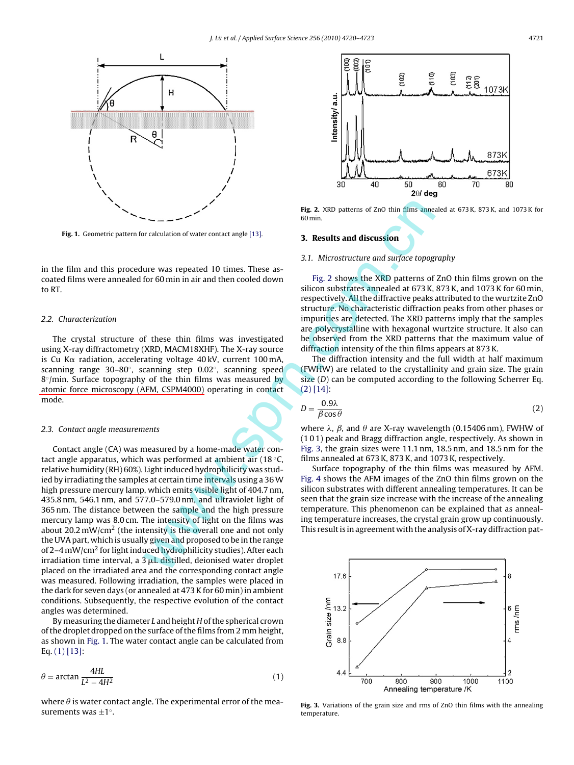<span id="page-1-0"></span>

**Fig. 1.** Geometric pattern for calculation of water contact angle [13].

in the film and this procedure was repeated 10 times. These ascoated films were annealed for 60 min in air and then cooled down to RT.

## 2.2. Characterization

The crystal structure of these thin films was investigated using X-ray diffractometry (XRD, MACM18XHF). The X-ray source is Cu K $\alpha$  radiation, accelerating voltage 40 kV, current 100 mA, scanning range 30–80◦, scanning step 0.02◦, scanning speed  $8°/$ min. Surface topography of the thin films was measured by atomic force microscopy (AFM, CSPM4000) operating in contact mode.

#### 2.3. Contact angle measurements

Contact angle (CA) was measured by a home-made water contact angle apparatus, which was performed at ambient air (18 ◦C, relative humidity (RH) 60%). Light induced hydrophilicity was studied by irradiating the samples at certain time intervals using a 36W high pressure mercury lamp, which emits visible light of 404.7 nm, 435.8 nm, 546.1 nm, and 577.0–579.0 nm, and ultraviolet light of 365 nm. The distance between the sample and the high pressure mercury lamp was 8.0 cm. The intensity of light on the films was about 20.2 mW/cm<sup>2</sup> (the intensity is the overall one and not only the UVA part, which is usually given and proposed to be in the range of 2–4 mW/cm<sup>2</sup> for light induced hydrophilicity studies). After each irradiation time interval, a  $3 \mu L$  distilled, deionised water droplet placed on the irradiated area and the corresponding contact angle was measured. Following irradiation, the samples were placed in the dark for seven days (or annealed at 473 K for 60 min) in ambient conditions. Subsequently, the respective evolution of the contact angles was determined. Fig. 2. XRD patterns of ZnO thin fil[m](#page-3-0)s anne<br>
for calculation of water contact angle [13].<br>
The column of the section of the section of the contact angle [13].<br>
The contact angle is also the SND patterns of<br>
fig. 2 shows t

By measuring the diameter L and height H of the spherical crown of the droplet dropped on the surface of the films from 2 mm height, as shown in Fig. 1. The water contact angle can be calculated from Eq. (1) [\[13\]:](#page-3-0)

$$
\theta = \arctan \frac{4HL}{L^2 - 4H^2}
$$
 (1)

where  $\theta$  is water contact angle. The experimental error of the measurements was ±1◦.



**Fig. 2.** XRD patterns of ZnO thin films annealed at 673 K, 873 K, and 1073 K for 60 min.

## **3. Results and discussion**

### 3.1. Microstructure and surface topography

Fig. 2 shows the XRD patterns of ZnO thin films grown on the silicon substrates annealed at 673 K, 873 K, and 1073 K for 60 min, respectively. All the diffractive peaks attributed to the wurtzite ZnO structure. No characteristic diffraction peaks from other phases or impurities are detected. The XRD patterns imply that the samples are polycrystalline with hexagonal wurtzite structure. It also can be observed from the XRD patterns that the maximum value of diffraction intensity of the thin films appears at 873 K.

The diffraction intensity and the full width at half maximum (FWHW) are related to the crystallinity and grain size. The grain size (D) can be computed according to the following Scherrer Eq. (2) [14]:

$$
D = \frac{0.9\lambda}{\beta \cos \theta} \tag{2}
$$

where  $\lambda$ ,  $\beta$ , and  $\theta$  are X-ray wavelength (0.15406 nm), FWHW of (1 0 1) peak and Bragg diffraction angle, respectively. As shown in Fig. 3, the grain sizes were 11.1 nm, 18.5 nm, and 18.5 nm for the films annealed at 673 K, 873 K, and 1073 K, respectively.

Surface topography of the thin films was measured by AFM. Fig. 4 shows the AFM images of the ZnO thin films grown on the silicon substrates with different annealing temperatures. It can be seen that the grain size increase with the increase of the annealing temperature. This phenomenon can be explained that as annealing temperature increases, the crystal grain grow up continuously. This result is in agreement with the analysis of X-ray diffraction pat-



**Fig. 3.** Variations of the grain size and rms of ZnO thin films with the annealing temperature.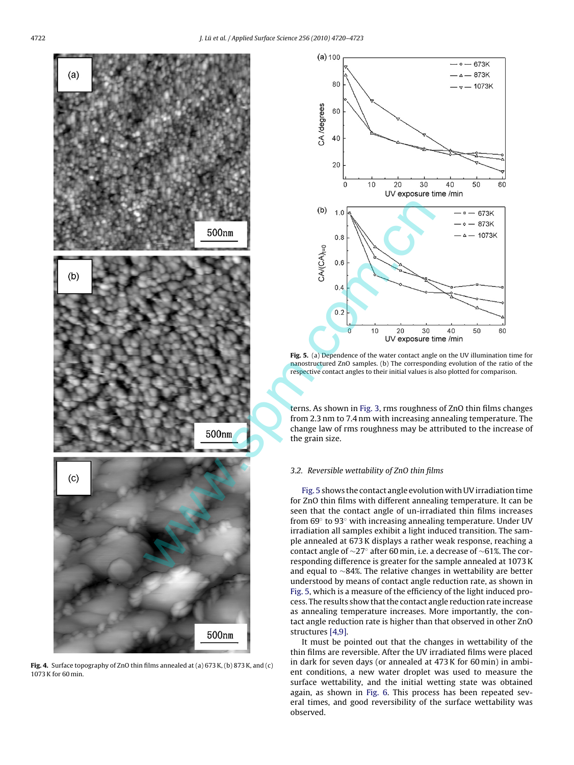<span id="page-2-0"></span>

**Fig. 4.** Surface topography of ZnO thin films annealed at (a) 673 K, (b) 873 K, and (c) 1073 K for 60 min.



**Fig. 5.** (a) Dependence of the water contact angle on the UV illumination time for nanostructured ZnO samples. (b) The corresponding evolution of the ratio of the respective contact angles to their initial values is also plotted for comparison.

terns. As shown in [Fig. 3, r](#page-1-0)ms roughness of ZnO thin films changes from 2.3 nm to 7.4 nm with increasing annealing temperature. The change law of rms roughness may be attributed to the increase of the grain size.

## 3.2. Reversible wettability of ZnO thin films

Fig. 5 shows the contact angle evolution with UV irradiation time for ZnO thin films with different annealing temperature. It can be seen that the contact angle of un-irradiated thin films increases from 69◦ to 93◦ with increasing annealing temperature. Under UV irradiation all samples exhibit a light induced transition. The sample annealed at 673 K displays a rather weak response, reaching a contact angle of ∼27◦ after 60 min, i.e. a decrease of ∼61%. The corresponding difference is greater for the sample annealed at 1073 K and equal to ∼84%. The relative changes in wettability are better understood by means of contact angle reduction rate, as shown in Fig. 5, which is a measure of the efficiency of the light induced process. The results show that the contact angle reduction rate increase as annealing temperature increases. More importantly, the contact angle reduction rate is higher than that observed in other ZnO structures [\[4,9\].](#page-3-0)

It must be pointed out that the changes in wettability of the thin films are reversible. After the UV irradiated films were placed in dark for seven days (or annealed at 473 K for 60 min) in ambient conditions, a new water droplet was used to measure the surface wettability, and the initial wetting state was obtained again, as shown in [Fig. 6.](#page-3-0) This process has been repeated several times, and good reversibility of the surface wettability was observed.